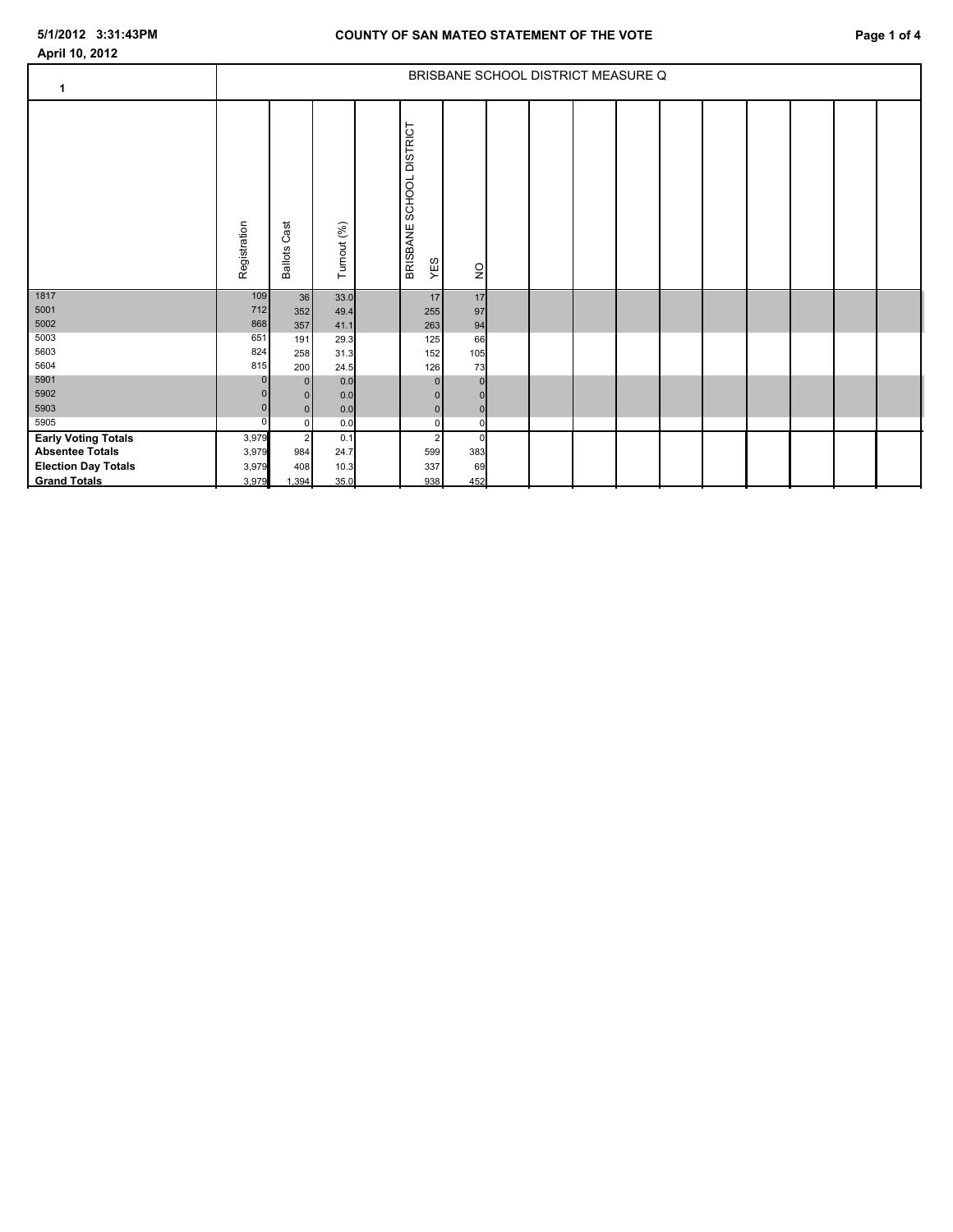**April 10, 2012**

| $\mathbf 1$                                          | BRISBANE SCHOOL DISTRICT MEASURE Q |                        |             |                          |                                  |                    |  |  |  |  |  |  |  |  |  |  |
|------------------------------------------------------|------------------------------------|------------------------|-------------|--------------------------|----------------------------------|--------------------|--|--|--|--|--|--|--|--|--|--|
|                                                      | Registration                       | Cast<br><b>Ballots</b> | Turnout (%) | BRISBANE SCHOOL DISTRICT | YES                              | $\frac{1}{2}$      |  |  |  |  |  |  |  |  |  |  |
| 1817                                                 | 109                                | 36                     | 33.0        |                          | 17                               | 17                 |  |  |  |  |  |  |  |  |  |  |
| 5001                                                 | 712                                | 352                    | 49.4        |                          | 255                              | 97                 |  |  |  |  |  |  |  |  |  |  |
| 5002                                                 | 868                                | 357                    | 41.1        |                          | 263                              | 94                 |  |  |  |  |  |  |  |  |  |  |
| 5003                                                 | 651                                | 191                    | 29.3        |                          | 125                              | 66                 |  |  |  |  |  |  |  |  |  |  |
| 5603                                                 | 824                                | 258                    | 31.3        |                          | 152                              | 105                |  |  |  |  |  |  |  |  |  |  |
| 5604                                                 | 815                                | 200                    | 24.5        |                          | 126                              | 73                 |  |  |  |  |  |  |  |  |  |  |
| 5901                                                 |                                    | 0                      | 0.0         |                          | 0                                | $\mathbf 0$        |  |  |  |  |  |  |  |  |  |  |
| 5902<br>5903                                         |                                    | $\bf{0}$               | 0.0         |                          | 0                                |                    |  |  |  |  |  |  |  |  |  |  |
| 5905                                                 | $\Omega$                           | 0                      | 0.0         |                          | 0                                | $\pmb{0}$          |  |  |  |  |  |  |  |  |  |  |
|                                                      |                                    | $\overline{0}$         | 0.0         |                          | $\overline{0}$<br>$\overline{2}$ | $\mathbf 0$        |  |  |  |  |  |  |  |  |  |  |
| <b>Early Voting Totals</b><br><b>Absentee Totals</b> | 3,979<br>3,979                     | $\overline{2}$<br>984  | 0.1<br>24.7 |                          | 599                              | $\mathbf 0$<br>383 |  |  |  |  |  |  |  |  |  |  |
| <b>Election Day Totals</b>                           | 3,979                              | 408                    | 10.3        |                          | 337                              | 69                 |  |  |  |  |  |  |  |  |  |  |
| <b>Grand Totals</b>                                  | 3,979                              | 1,394                  | 35.0        |                          | 938                              | 452                |  |  |  |  |  |  |  |  |  |  |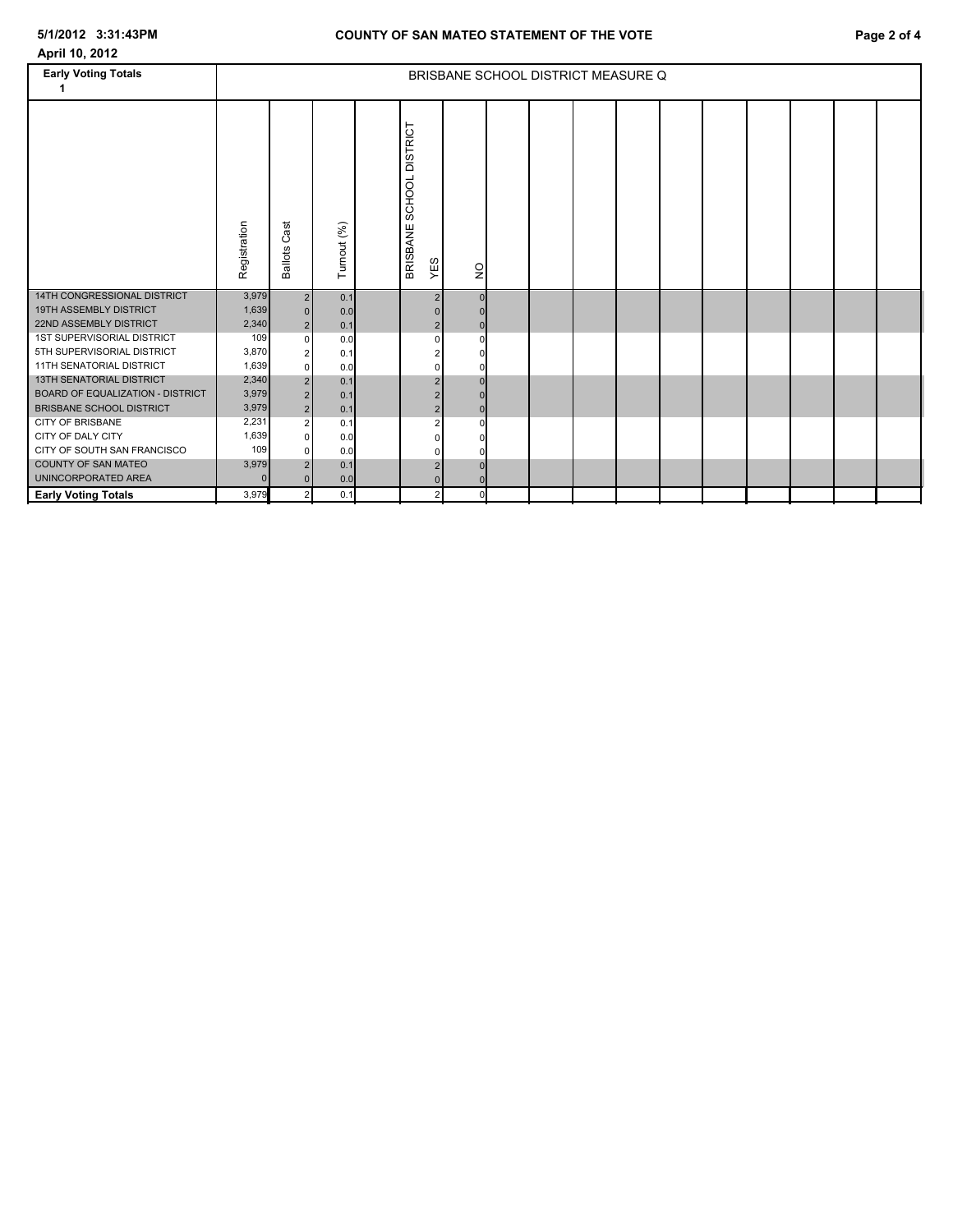| April 10, 2012                                                 |                                    |                            |             |  |                                    |                |  |  |  |  |  |  |  |  |  |  |
|----------------------------------------------------------------|------------------------------------|----------------------------|-------------|--|------------------------------------|----------------|--|--|--|--|--|--|--|--|--|--|
| <b>Early Voting Totals</b>                                     | BRISBANE SCHOOL DISTRICT MEASURE Q |                            |             |  |                                    |                |  |  |  |  |  |  |  |  |  |  |
|                                                                | Registration                       | Cast<br><b>Ballots</b>     | Turnout (%) |  | SCHOOL DISTRICT<br>BRISBANE<br>YES | $\frac{1}{2}$  |  |  |  |  |  |  |  |  |  |  |
| 14TH CONGRESSIONAL DISTRICT                                    | 3,979                              | 2 <sub>1</sub>             | 0.1         |  | 2                                  | $\overline{0}$ |  |  |  |  |  |  |  |  |  |  |
| <b>19TH ASSEMBLY DISTRICT</b><br><b>22ND ASSEMBLY DISTRICT</b> | 1,639<br>2,340                     | 0 <br>2 <sub>1</sub>       | 0.0<br>0.1  |  | 2 <sup>1</sup>                     | $\mathbf{0}$   |  |  |  |  |  |  |  |  |  |  |
| 1ST SUPERVISORIAL DISTRICT                                     | 109                                | $\overline{0}$             | 0.0         |  | 0                                  | $\Omega$       |  |  |  |  |  |  |  |  |  |  |
| 5TH SUPERVISORIAL DISTRICT                                     | 3,870                              | $\overline{\mathbf{c}}$    | 0.1         |  |                                    |                |  |  |  |  |  |  |  |  |  |  |
| 11TH SENATORIAL DISTRICT                                       | 1,639                              | $\overline{0}$             | 0.0         |  |                                    |                |  |  |  |  |  |  |  |  |  |  |
| <b>13TH SENATORIAL DISTRICT</b>                                | 2,340                              | 2                          | 0.1         |  |                                    | $\Omega$       |  |  |  |  |  |  |  |  |  |  |
| BOARD OF EQUALIZATION - DISTRICT                               | 3,979                              | 2 <sup>1</sup>             | 0.1         |  |                                    |                |  |  |  |  |  |  |  |  |  |  |
| <b>BRISBANE SCHOOL DISTRICT</b>                                | 3,979                              | 2 <sub>1</sub>             | 0.1         |  | 2                                  | $\Omega$       |  |  |  |  |  |  |  |  |  |  |
| <b>CITY OF BRISBANE</b>                                        | 2,231                              | $\mathbf{2}$               | 0.1         |  |                                    | $\Omega$       |  |  |  |  |  |  |  |  |  |  |
| CITY OF DALY CITY                                              | 1,639                              | $\Omega$                   | 0.0         |  |                                    |                |  |  |  |  |  |  |  |  |  |  |
| CITY OF SOUTH SAN FRANCISCO                                    | 109                                | $\overline{0}$             | 0.0         |  |                                    |                |  |  |  |  |  |  |  |  |  |  |
| <b>COUNTY OF SAN MATEO</b>                                     | 3,979                              | 2 <sup>1</sup>             | 0.1         |  | $\overline{2}$                     | $\Omega$       |  |  |  |  |  |  |  |  |  |  |
| UNINCORPORATED AREA<br><b>Early Voting Totals</b>              | $\Omega$<br>3,979                  | $\Omega$<br>2 <sub>l</sub> | 0.0<br>0.1  |  | $\mathcal{P}$                      | $\Omega$       |  |  |  |  |  |  |  |  |  |  |
|                                                                |                                    |                            |             |  |                                    |                |  |  |  |  |  |  |  |  |  |  |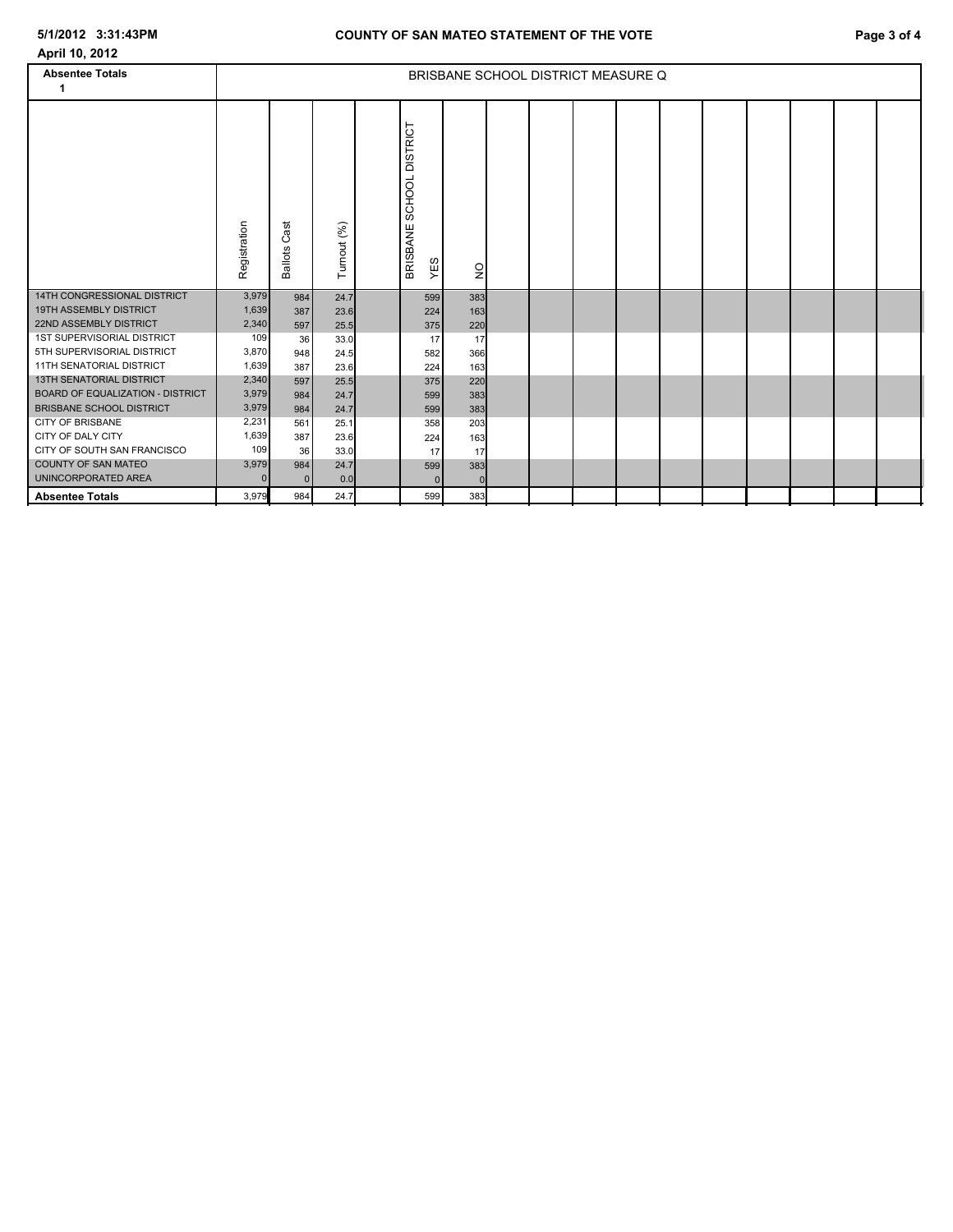| April 10, 2012                                             |                |                        |             |                                              |                 |                                    |  |  |  |  |
|------------------------------------------------------------|----------------|------------------------|-------------|----------------------------------------------|-----------------|------------------------------------|--|--|--|--|
| <b>Absentee Totals</b><br>1                                |                |                        |             |                                              |                 | BRISBANE SCHOOL DISTRICT MEASURE Q |  |  |  |  |
|                                                            | Registration   | Cast<br><b>Ballots</b> | Turnout (%) | <b>DISTRICT</b><br>SCHOOL<br>BRISBANE<br>YES | $\frac{0}{2}$   |                                    |  |  |  |  |
| 14TH CONGRESSIONAL DISTRICT                                | 3,979          | 984                    | 24.7        | 599                                          | 383             |                                    |  |  |  |  |
| <b>19TH ASSEMBLY DISTRICT</b>                              | 1,639          | 387                    | 23.6        | 224                                          | 163             |                                    |  |  |  |  |
| 22ND ASSEMBLY DISTRICT                                     | 2,340          | 597                    | 25.5        | 375                                          | 220             |                                    |  |  |  |  |
| 1ST SUPERVISORIAL DISTRICT                                 | 109            | 36                     | 33.0        | 17                                           | 17              |                                    |  |  |  |  |
| 5TH SUPERVISORIAL DISTRICT                                 | 3,870          | 948                    | 24.5        | 582                                          | 366             |                                    |  |  |  |  |
| 11TH SENATORIAL DISTRICT                                   | 1,639          | 387                    | 23.6        | 224                                          | 163             |                                    |  |  |  |  |
| <b>13TH SENATORIAL DISTRICT</b>                            | 2,340          | 597                    | 25.5        | 375                                          | 220             |                                    |  |  |  |  |
| <b>BOARD OF EQUALIZATION - DISTRICT</b>                    | 3,979          | 984                    | 24.7        | 599                                          | 383             |                                    |  |  |  |  |
| <b>BRISBANE SCHOOL DISTRICT</b><br><b>CITY OF BRISBANE</b> | 3,979          | 984                    | 24.7        | 599                                          | 383             |                                    |  |  |  |  |
| CITY OF DALY CITY                                          | 2,231<br>1,639 | 561                    | 25.1        | 358                                          | 203             |                                    |  |  |  |  |
| CITY OF SOUTH SAN FRANCISCO                                | 109            | 387                    | 23.6        | 224                                          | 163             |                                    |  |  |  |  |
| <b>COUNTY OF SAN MATEO</b>                                 | 3,979          | 36                     | 33.0        | 17                                           | 17              |                                    |  |  |  |  |
| UNINCORPORATED AREA                                        | $\Omega$       | 984<br>$\Omega$        | 24.7<br>0.0 | 599<br>$\mathbf{0}$                          | 383<br>$\Omega$ |                                    |  |  |  |  |
| <b>Absentee Totals</b>                                     | 3.979          | 984                    | 24.7        | 599                                          | 383             |                                    |  |  |  |  |